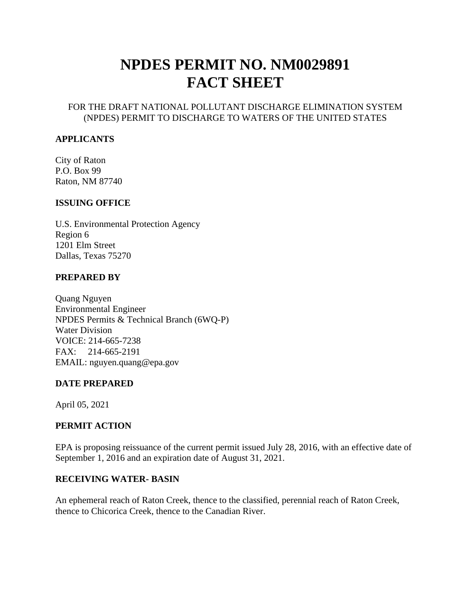# **NPDES PERMIT NO. NM0029891 FACT SHEET**

#### FOR THE DRAFT NATIONAL POLLUTANT DISCHARGE ELIMINATION SYSTEM (NPDES) PERMIT TO DISCHARGE TO WATERS OF THE UNITED STATES

#### **APPLICANTS**

City of Raton P.O. Box 99 Raton, NM 87740

#### **ISSUING OFFICE**

U.S. Environmental Protection Agency Region 6 1201 Elm Street Dallas, Texas 75270

#### **PREPARED BY**

Quang Nguyen Environmental Engineer NPDES Permits & Technical Branch (6WQ-P) Water Division VOICE: 214-665-7238 FAX: 214-665-2191 EMAIL: nguyen.quang@epa.gov

## **DATE PREPARED**

April 05, 2021

## **PERMIT ACTION**

EPA is proposing reissuance of the current permit issued July 28, 2016, with an effective date of September 1, 2016 and an expiration date of August 31, 2021.

#### **RECEIVING WATER- BASIN**

An ephemeral reach of Raton Creek, thence to the classified, perennial reach of Raton Creek, thence to Chicorica Creek, thence to the Canadian River.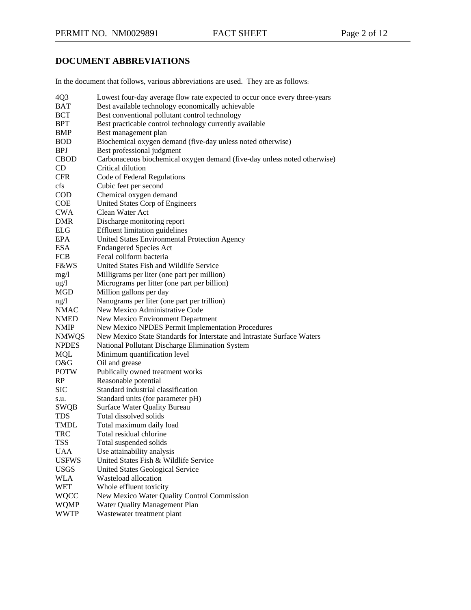# **DOCUMENT ABBREVIATIONS**

In the document that follows, various abbreviations are used. They are as follows:

| Lowest four-day average flow rate expected to occur once every three-years |
|----------------------------------------------------------------------------|
|                                                                            |
|                                                                            |
|                                                                            |
|                                                                            |
|                                                                            |
|                                                                            |
| Carbonaceous biochemical oxygen demand (five-day unless noted otherwise)   |
|                                                                            |
|                                                                            |
|                                                                            |
|                                                                            |
|                                                                            |
|                                                                            |
|                                                                            |
|                                                                            |
|                                                                            |
|                                                                            |
|                                                                            |
|                                                                            |
|                                                                            |
|                                                                            |
|                                                                            |
|                                                                            |
|                                                                            |
|                                                                            |
|                                                                            |
| New Mexico State Standards for Interstate and Intrastate Surface Waters    |
|                                                                            |
|                                                                            |
|                                                                            |
|                                                                            |
|                                                                            |
|                                                                            |
|                                                                            |
|                                                                            |
|                                                                            |
|                                                                            |
|                                                                            |
|                                                                            |
|                                                                            |
|                                                                            |
|                                                                            |
|                                                                            |
|                                                                            |
|                                                                            |
|                                                                            |
|                                                                            |
|                                                                            |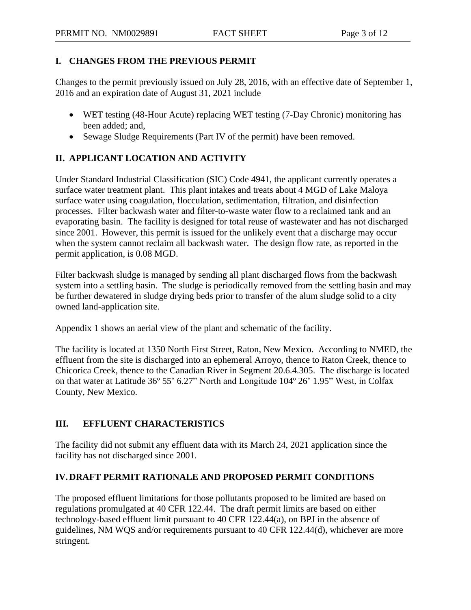## **I. CHANGES FROM THE PREVIOUS PERMIT**

Changes to the permit previously issued on July 28, 2016, with an effective date of September 1, 2016 and an expiration date of August 31, 2021 include

- WET testing (48-Hour Acute) replacing WET testing (7-Day Chronic) monitoring has been added; and,
- Sewage Sludge Requirements (Part IV of the permit) have been removed.

# **II. APPLICANT LOCATION AND ACTIVITY**

Under Standard Industrial Classification (SIC) Code 4941, the applicant currently operates a surface water treatment plant. This plant intakes and treats about 4 MGD of Lake Maloya surface water using coagulation, flocculation, sedimentation, filtration, and disinfection processes. Filter backwash water and filter-to-waste water flow to a reclaimed tank and an evaporating basin. The facility is designed for total reuse of wastewater and has not discharged since 2001. However, this permit is issued for the unlikely event that a discharge may occur when the system cannot reclaim all backwash water. The design flow rate, as reported in the permit application, is 0.08 MGD.

Filter backwash sludge is managed by sending all plant discharged flows from the backwash system into a settling basin. The sludge is periodically removed from the settling basin and may be further dewatered in sludge drying beds prior to transfer of the alum sludge solid to a city owned land-application site.

Appendix 1 shows an aerial view of the plant and schematic of the facility.

The facility is located at 1350 North First Street, Raton, New Mexico. According to NMED, the effluent from the site is discharged into an ephemeral Arroyo, thence to Raton Creek, thence to Chicorica Creek, thence to the Canadian River in Segment 20.6.4.305. The discharge is located on that water at Latitude 36º 55' 6.27" North and Longitude 104º 26' 1.95" West, in Colfax County, New Mexico.

# **III. EFFLUENT CHARACTERISTICS**

The facility did not submit any effluent data with its March 24, 2021 application since the facility has not discharged since 2001.

# **IV.DRAFT PERMIT RATIONALE AND PROPOSED PERMIT CONDITIONS**

The proposed effluent limitations for those pollutants proposed to be limited are based on regulations promulgated at 40 CFR 122.44. The draft permit limits are based on either technology-based effluent limit pursuant to 40 CFR 122.44(a), on BPJ in the absence of guidelines, NM WQS and/or requirements pursuant to 40 CFR 122.44(d), whichever are more stringent.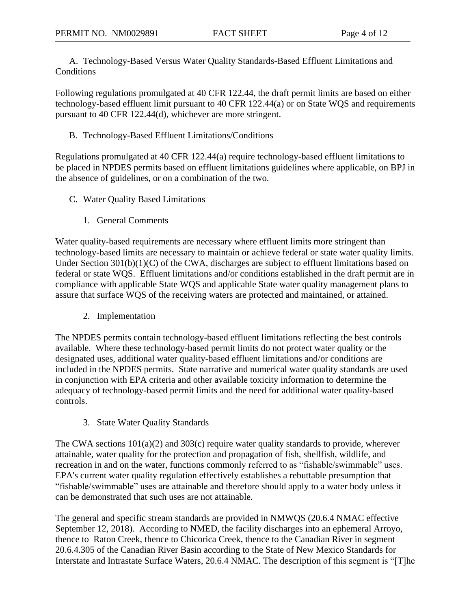A. Technology-Based Versus Water Quality Standards-Based Effluent Limitations and **Conditions** 

Following regulations promulgated at 40 CFR 122.44, the draft permit limits are based on either technology-based effluent limit pursuant to 40 CFR 122.44(a) or on State WQS and requirements pursuant to 40 CFR 122.44(d), whichever are more stringent.

#### B. Technology-Based Effluent Limitations/Conditions

Regulations promulgated at 40 CFR 122.44(a) require technology-based effluent limitations to be placed in NPDES permits based on effluent limitations guidelines where applicable, on BPJ in the absence of guidelines, or on a combination of the two.

- C. Water Quality Based Limitations
	- 1. General Comments

Water quality-based requirements are necessary where effluent limits more stringent than technology-based limits are necessary to maintain or achieve federal or state water quality limits. Under Section 301(b)(1)(C) of the CWA, discharges are subject to effluent limitations based on federal or state WQS. Effluent limitations and/or conditions established in the draft permit are in compliance with applicable State WQS and applicable State water quality management plans to assure that surface WQS of the receiving waters are protected and maintained, or attained.

2. Implementation

The NPDES permits contain technology-based effluent limitations reflecting the best controls available. Where these technology-based permit limits do not protect water quality or the designated uses, additional water quality-based effluent limitations and/or conditions are included in the NPDES permits. State narrative and numerical water quality standards are used in conjunction with EPA criteria and other available toxicity information to determine the adequacy of technology-based permit limits and the need for additional water quality-based controls.

3. State Water Quality Standards

The CWA sections  $101(a)(2)$  and  $303(c)$  require water quality standards to provide, wherever attainable, water quality for the protection and propagation of fish, shellfish, wildlife, and recreation in and on the water, functions commonly referred to as "fishable/swimmable" uses. EPA's current water quality regulation effectively establishes a rebuttable presumption that "fishable/swimmable" uses are attainable and therefore should apply to a water body unless it can be demonstrated that such uses are not attainable.

The general and specific stream standards are provided in NMWQS (20.6.4 NMAC effective September 12, 2018). According to NMED, the facility discharges into an ephemeral Arroyo, thence to Raton Creek, thence to Chicorica Creek, thence to the Canadian River in segment 20.6.4.305 of the Canadian River Basin according to the State of New Mexico Standards for Interstate and Intrastate Surface Waters, 20.6.4 NMAC. The description of this segment is "[T]he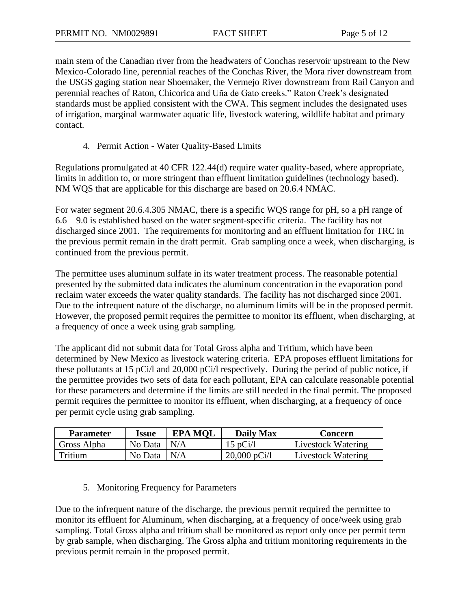main stem of the Canadian river from the headwaters of Conchas reservoir upstream to the New Mexico-Colorado line, perennial reaches of the Conchas River, the Mora river downstream from the USGS gaging station near Shoemaker, the Vermejo River downstream from Rail Canyon and perennial reaches of Raton, Chicorica and Uña de Gato creeks." Raton Creek's designated standards must be applied consistent with the CWA. This segment includes the designated uses of irrigation, marginal warmwater aquatic life, livestock watering, wildlife habitat and primary contact.

4. Permit Action - Water Quality-Based Limits

Regulations promulgated at 40 CFR 122.44(d) require water quality-based, where appropriate, limits in addition to, or more stringent than effluent limitation guidelines (technology based). NM WQS that are applicable for this discharge are based on 20.6.4 NMAC.

For water segment 20.6.4.305 NMAC, there is a specific WQS range for pH, so a pH range of 6.6 – 9.0 is established based on the water segment-specific criteria. The facility has not discharged since 2001. The requirements for monitoring and an effluent limitation for TRC in the previous permit remain in the draft permit. Grab sampling once a week, when discharging, is continued from the previous permit.

The permittee uses aluminum sulfate in its water treatment process. The reasonable potential presented by the submitted data indicates the aluminum concentration in the evaporation pond reclaim water exceeds the water quality standards. The facility has not discharged since 2001. Due to the infrequent nature of the discharge, no aluminum limits will be in the proposed permit. However, the proposed permit requires the permittee to monitor its effluent, when discharging, at a frequency of once a week using grab sampling.

The applicant did not submit data for Total Gross alpha and Tritium, which have been determined by New Mexico as livestock watering criteria. EPA proposes effluent limitations for these pollutants at 15 pCi/l and 20,000 pCi/l respectively. During the period of public notice, if the permittee provides two sets of data for each pollutant, EPA can calculate reasonable potential for these parameters and determine if the limits are still needed in the final permit. The proposed permit requires the permittee to monitor its effluent, when discharging, at a frequency of once per permit cycle using grab sampling.

| <b>Parameter</b> | Issue          | <b>EPA MOL</b> | <b>Daily Max</b>       | Concern                   |
|------------------|----------------|----------------|------------------------|---------------------------|
| Gross Alpha      | No Data $ N/A$ |                | $15 \text{ pCi}/1$     | Livestock Watering        |
| Tritium          | No Data $ N/A$ |                | $20,000 \text{ pCi/l}$ | <b>Livestock Watering</b> |

#### 5. Monitoring Frequency for Parameters

Due to the infrequent nature of the discharge, the previous permit required the permittee to monitor its effluent for Aluminum, when discharging, at a frequency of once/week using grab sampling. Total Gross alpha and tritium shall be monitored as report only once per permit term by grab sample, when discharging. The Gross alpha and tritium monitoring requirements in the previous permit remain in the proposed permit.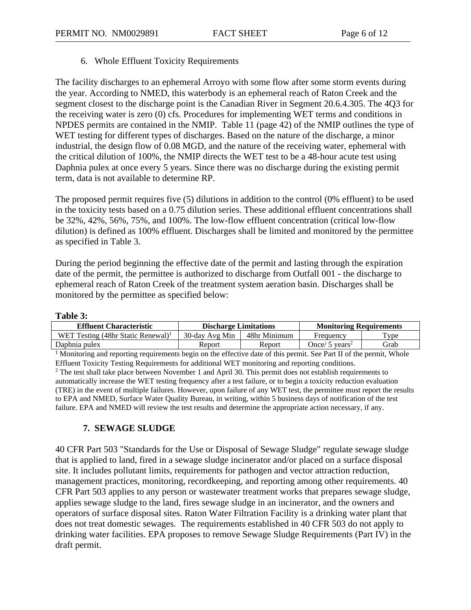#### 6. Whole Effluent Toxicity Requirements

The facility discharges to an ephemeral Arroyo with some flow after some storm events during the year. According to NMED, this waterbody is an ephemeral reach of Raton Creek and the segment closest to the discharge point is the Canadian River in Segment 20.6.4.305. The 4Q3 for the receiving water is zero (0) cfs. Procedures for implementing WET terms and conditions in NPDES permits are contained in the NMIP. Table 11 (page 42) of the NMIP outlines the type of WET testing for different types of discharges. Based on the nature of the discharge, a minor industrial, the design flow of 0.08 MGD, and the nature of the receiving water, ephemeral with the critical dilution of 100%, the NMIP directs the WET test to be a 48-hour acute test using Daphnia pulex at once every 5 years. Since there was no discharge during the existing permit term, data is not available to determine RP.

The proposed permit requires five (5) dilutions in addition to the control (0% effluent) to be used in the toxicity tests based on a 0.75 dilution series. These additional effluent concentrations shall be 32%, 42%, 56%, 75%, and 100%. The low-flow effluent concentration (critical low-flow dilution) is defined as 100% effluent. Discharges shall be limited and monitored by the permittee as specified in Table 3.

During the period beginning the effective date of the permit and lasting through the expiration date of the permit, the permittee is authorized to discharge from Outfall 001 - the discharge to ephemeral reach of Raton Creek of the treatment system aeration basin. Discharges shall be monitored by the permittee as specified below:

#### **Table 3:**

| <b>Effluent Characteristic</b>                          | <b>Discharge Limitations</b> |              | <b>Monitoring Requirements</b> |                    |
|---------------------------------------------------------|------------------------------|--------------|--------------------------------|--------------------|
| WET Testing $(48\text{hr}$ Static Renewal) <sup>1</sup> | 30-day Avg Min               | 48hr Minimum | Frequency                      | $T$ <sub>ype</sub> |
| Daphnia pulex                                           | Report                       | Report       | Once/ 5 $\rm{years^2}$         | Grab               |

<sup>1</sup> Monitoring and reporting requirements begin on the effective date of this permit. See Part II of the permit, Whole Effluent Toxicity Testing Requirements for additional WET monitoring and reporting conditions. <sup>2</sup> The test shall take place between November 1 and April 30. This permit does not establish requirements to

automatically increase the WET testing frequency after a test failure, or to begin a toxicity reduction evaluation (TRE) in the event of multiple failures. However, upon failure of any WET test, the permittee must report the results to EPA and NMED, Surface Water Quality Bureau, in writing, within 5 business days of notification of the test failure. EPA and NMED will review the test results and determine the appropriate action necessary, if any.

## **7. SEWAGE SLUDGE**

40 CFR Part 503 "Standards for the Use or Disposal of Sewage Sludge" regulate sewage sludge that is applied to land, fired in a sewage sludge incinerator and/or placed on a surface disposal site. It includes pollutant limits, requirements for pathogen and vector attraction reduction, management practices, monitoring, recordkeeping, and reporting among other requirements. 40 CFR Part 503 applies to any person or wastewater treatment works that prepares sewage sludge, applies sewage sludge to the land, fires sewage sludge in an incinerator, and the owners and operators of surface disposal sites. Raton Water Filtration Facility is a drinking water plant that does not treat domestic sewages. The requirements established in 40 CFR 503 do not apply to drinking water facilities. EPA proposes to remove Sewage Sludge Requirements (Part IV) in the draft permit.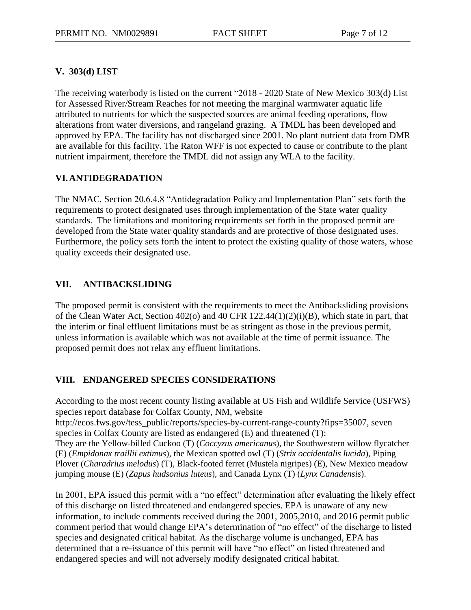## **V. 303(d) LIST**

The receiving waterbody is listed on the current "2018 - 2020 State of New Mexico 303(d) List for Assessed River/Stream Reaches for not meeting the marginal warmwater aquatic life attributed to nutrients for which the suspected sources are animal feeding operations, flow alterations from water diversions, and rangeland grazing. A TMDL has been developed and approved by EPA. The facility has not discharged since 2001. No plant nutrient data from DMR are available for this facility. The Raton WFF is not expected to cause or contribute to the plant nutrient impairment, therefore the TMDL did not assign any WLA to the facility.

## **VI.ANTIDEGRADATION**

The NMAC, Section 20.6.4.8 "Antidegradation Policy and Implementation Plan" sets forth the requirements to protect designated uses through implementation of the State water quality standards. The limitations and monitoring requirements set forth in the proposed permit are developed from the State water quality standards and are protective of those designated uses. Furthermore, the policy sets forth the intent to protect the existing quality of those waters, whose quality exceeds their designated use.

## **VII. ANTIBACKSLIDING**

The proposed permit is consistent with the requirements to meet the Antibacksliding provisions of the Clean Water Act, Section 402(o) and 40 CFR 122.44(1)(2)(i)(B), which state in part, that the interim or final effluent limitations must be as stringent as those in the previous permit, unless information is available which was not available at the time of permit issuance. The proposed permit does not relax any effluent limitations.

## **VIII. ENDANGERED SPECIES CONSIDERATIONS**

According to the most recent county listing available at US Fish and Wildlife Service (USFWS) species report database for Colfax County, NM, website http://ecos.fws.gov/tess\_public/reports/species-by-current-range-county?fips=35007, seven species in Colfax County are listed as endangered (E) and threatened (T): They are the Yellow-billed Cuckoo (T) (*Coccyzus americanus*), the Southwestern willow flycatcher (E) (*Empidonax traillii extimus*), the Mexican spotted owl (T) (*Strix occidentalis lucida*), Piping Plover (*Charadrius melodus*) (T), Black-footed ferret (Mustela nigripes) (E), New Mexico meadow jumping mouse (E) (*Zapus hudsonius luteus*), and Canada Lynx (T) (*Lynx Canadensis*).

In 2001, EPA issued this permit with a "no effect" determination after evaluating the likely effect of this discharge on listed threatened and endangered species. EPA is unaware of any new information, to include comments received during the 2001, 2005,2010, and 2016 permit public comment period that would change EPA's determination of "no effect" of the discharge to listed species and designated critical habitat. As the discharge volume is unchanged, EPA has determined that a re-issuance of this permit will have "no effect" on listed threatened and endangered species and will not adversely modify designated critical habitat.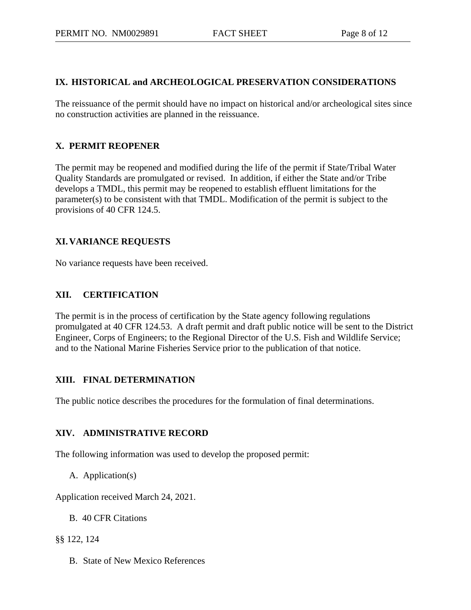## **IX. HISTORICAL and ARCHEOLOGICAL PRESERVATION CONSIDERATIONS**

The reissuance of the permit should have no impact on historical and/or archeological sites since no construction activities are planned in the reissuance.

# **X. PERMIT REOPENER**

The permit may be reopened and modified during the life of the permit if State/Tribal Water Quality Standards are promulgated or revised. In addition, if either the State and/or Tribe develops a TMDL, this permit may be reopened to establish effluent limitations for the parameter(s) to be consistent with that TMDL. Modification of the permit is subject to the provisions of 40 CFR 124.5.

# **XI.VARIANCE REQUESTS**

No variance requests have been received.

## **XII. CERTIFICATION**

The permit is in the process of certification by the State agency following regulations promulgated at 40 CFR 124.53. A draft permit and draft public notice will be sent to the District Engineer, Corps of Engineers; to the Regional Director of the U.S. Fish and Wildlife Service; and to the National Marine Fisheries Service prior to the publication of that notice.

## **XIII. FINAL DETERMINATION**

The public notice describes the procedures for the formulation of final determinations.

## **XIV. ADMINISTRATIVE RECORD**

The following information was used to develop the proposed permit:

A. Application(s)

Application received March 24, 2021.

B. 40 CFR Citations

## §§ 122, 124

B. State of New Mexico References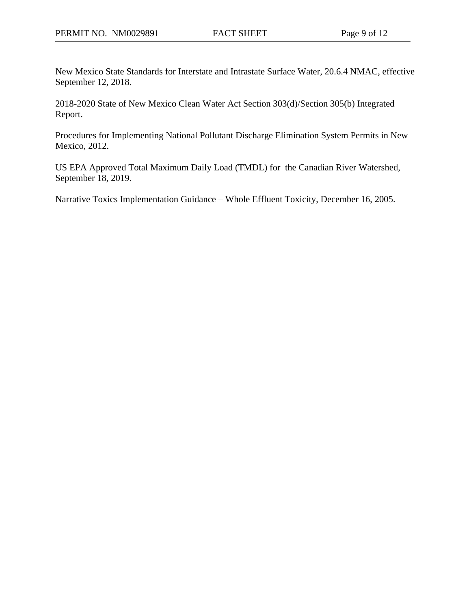New Mexico State Standards for Interstate and Intrastate Surface Water, 20.6.4 NMAC, effective September 12, 2018.

2018-2020 State of New Mexico Clean Water Act Section 303(d)/Section 305(b) Integrated Report.

Procedures for Implementing National Pollutant Discharge Elimination System Permits in New Mexico, 2012.

US EPA Approved Total Maximum Daily Load (TMDL) for the Canadian River Watershed, September 18, 2019.

Narrative Toxics Implementation Guidance – Whole Effluent Toxicity, December 16, 2005.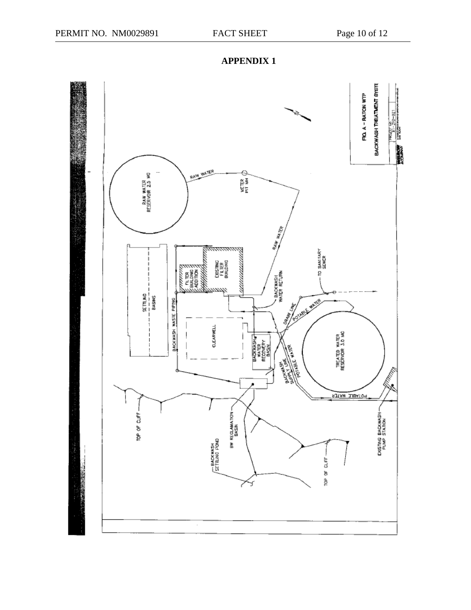

**APPENDIX 1**